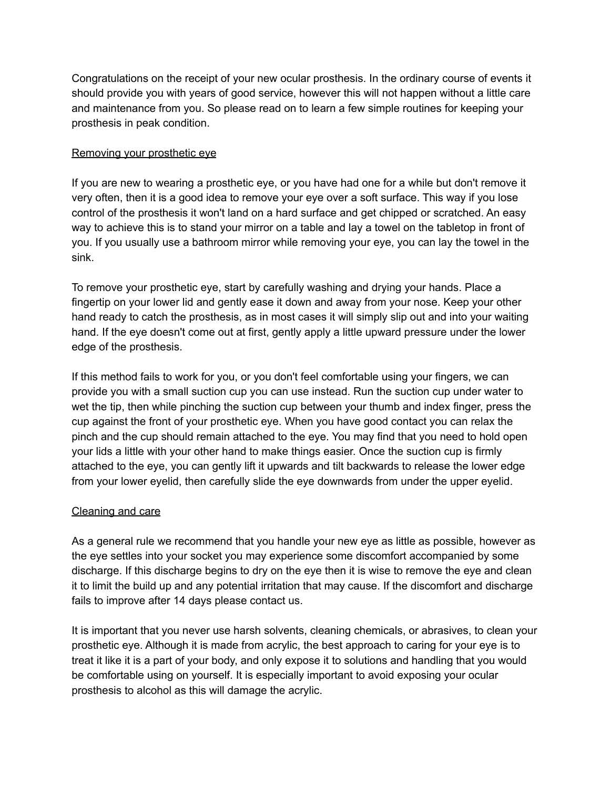Congratulations on the receipt of your new ocular prosthesis. In the ordinary course of events it should provide you with years of good service, however this will not happen without a little care and maintenance from you. So please read on to learn a few simple routines for keeping your prosthesis in peak condition.

## Removing your prosthetic eye

If you are new to wearing a prosthetic eye, or you have had one for a while but don't remove it very often, then it is a good idea to remove your eye over a soft surface. This way if you lose control of the prosthesis it won't land on a hard surface and get chipped or scratched. An easy way to achieve this is to stand your mirror on a table and lay a towel on the tabletop in front of you. If you usually use a bathroom mirror while removing your eye, you can lay the towel in the sink.

To remove your prosthetic eye, start by carefully washing and drying your hands. Place a fingertip on your lower lid and gently ease it down and away from your nose. Keep your other hand ready to catch the prosthesis, as in most cases it will simply slip out and into your waiting hand. If the eye doesn't come out at first, gently apply a little upward pressure under the lower edge of the prosthesis.

If this method fails to work for you, or you don't feel comfortable using your fingers, we can provide you with a small suction cup you can use instead. Run the suction cup under water to wet the tip, then while pinching the suction cup between your thumb and index finger, press the cup against the front of your prosthetic eye. When you have good contact you can relax the pinch and the cup should remain attached to the eye. You may find that you need to hold open your lids a little with your other hand to make things easier. Once the suction cup is firmly attached to the eye, you can gently lift it upwards and tilt backwards to release the lower edge from your lower eyelid, then carefully slide the eye downwards from under the upper eyelid.

## Cleaning and care

As a general rule we recommend that you handle your new eye as little as possible, however as the eye settles into your socket you may experience some discomfort accompanied by some discharge. If this discharge begins to dry on the eye then it is wise to remove the eye and clean it to limit the build up and any potential irritation that may cause. If the discomfort and discharge fails to improve after 14 days please contact us.

It is important that you never use harsh solvents, cleaning chemicals, or abrasives, to clean your prosthetic eye. Although it is made from acrylic, the best approach to caring for your eye is to treat it like it is a part of your body, and only expose it to solutions and handling that you would be comfortable using on yourself. It is especially important to avoid exposing your ocular prosthesis to alcohol as this will damage the acrylic.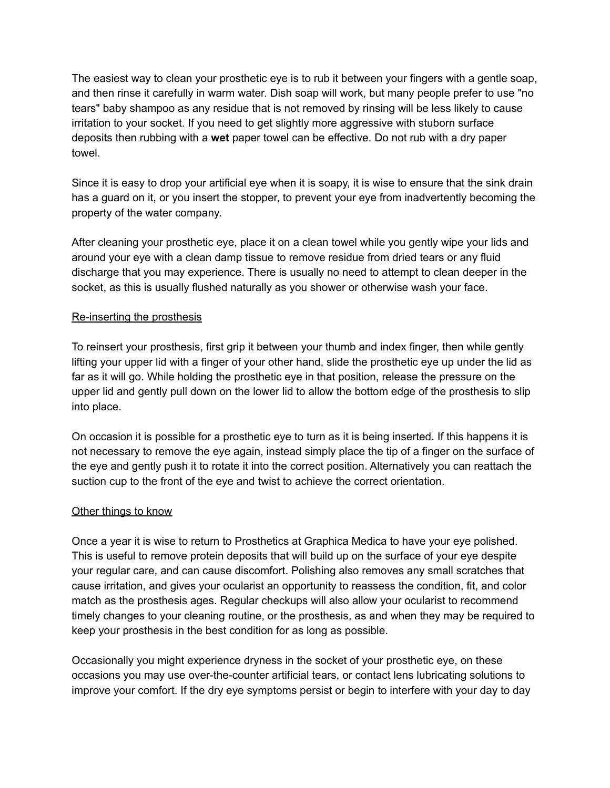The easiest way to clean your prosthetic eye is to rub it between your fingers with a gentle soap, and then rinse it carefully in warm water. Dish soap will work, but many people prefer to use "no tears" baby shampoo as any residue that is not removed by rinsing will be less likely to cause irritation to your socket. If you need to get slightly more aggressive with stuborn surface deposits then rubbing with a **wet** paper towel can be effective. Do not rub with a dry paper towel.

Since it is easy to drop your artificial eye when it is soapy, it is wise to ensure that the sink drain has a guard on it, or you insert the stopper, to prevent your eye from inadvertently becoming the property of the water company.

After cleaning your prosthetic eye, place it on a clean towel while you gently wipe your lids and around your eye with a clean damp tissue to remove residue from dried tears or any fluid discharge that you may experience. There is usually no need to attempt to clean deeper in the socket, as this is usually flushed naturally as you shower or otherwise wash your face.

## Re-inserting the prosthesis

To reinsert your prosthesis, first grip it between your thumb and index finger, then while gently lifting your upper lid with a finger of your other hand, slide the prosthetic eye up under the lid as far as it will go. While holding the prosthetic eye in that position, release the pressure on the upper lid and gently pull down on the lower lid to allow the bottom edge of the prosthesis to slip into place.

On occasion it is possible for a prosthetic eye to turn as it is being inserted. If this happens it is not necessary to remove the eye again, instead simply place the tip of a finger on the surface of the eye and gently push it to rotate it into the correct position. Alternatively you can reattach the suction cup to the front of the eye and twist to achieve the correct orientation.

## Other things to know

Once a year it is wise to return to Prosthetics at Graphica Medica to have your eye polished. This is useful to remove protein deposits that will build up on the surface of your eye despite your regular care, and can cause discomfort. Polishing also removes any small scratches that cause irritation, and gives your ocularist an opportunity to reassess the condition, fit, and color match as the prosthesis ages. Regular checkups will also allow your ocularist to recommend timely changes to your cleaning routine, or the prosthesis, as and when they may be required to keep your prosthesis in the best condition for as long as possible.

Occasionally you might experience dryness in the socket of your prosthetic eye, on these occasions you may use over-the-counter artificial tears, or contact lens lubricating solutions to improve your comfort. If the dry eye symptoms persist or begin to interfere with your day to day